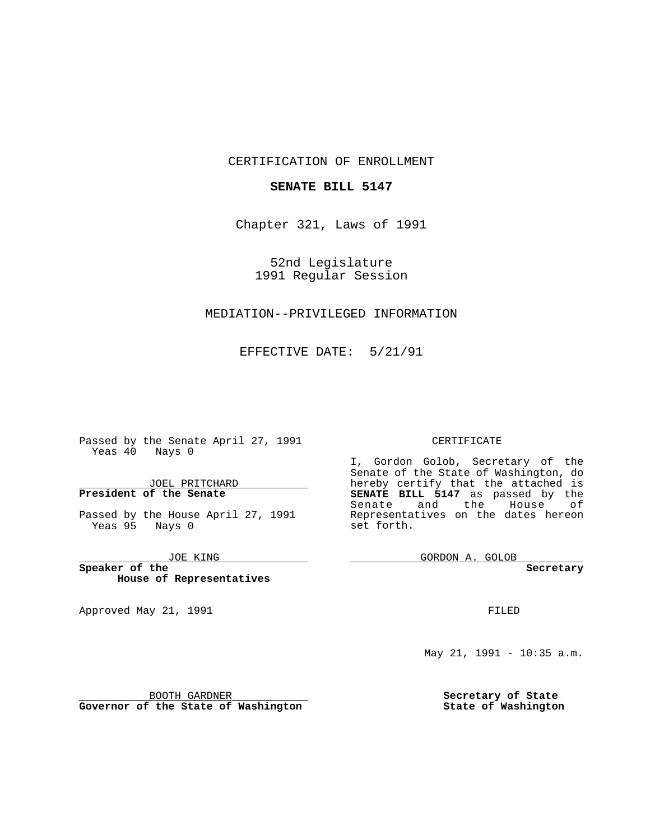CERTIFICATION OF ENROLLMENT

### **SENATE BILL 5147**

Chapter 321, Laws of 1991

52nd Legislature 1991 Regular Session

### MEDIATION--PRIVILEGED INFORMATION

EFFECTIVE DATE: 5/21/91

 $\sim$  100  $\mu$ 

Passed by the Senate April 27, 1991 Yeas 40 Nays 0

JOEL PRITCHARD **President of the Senate**

Passed by the House April 27, 1991 Yeas 95 Nays 0

JOE KING

the control of the control of the

**Speaker of the House of Representatives**

BOOTH GARDNER **Governor of the State of Washington**

Approved May 21, 1991

#### CERTIFICATE

I, Gordon Golob, Secretary of the Senate of the State of Washington, do hereby certify that the attached is **SENATE BILL 5147** as passed by the Senate and the House of Representatives on the dates hereon set forth.

GORDON A. GOLOB

**Secretary**

FILED

May 21, 1991 - 10:35 a.m.

**Secretary of State State of Washington**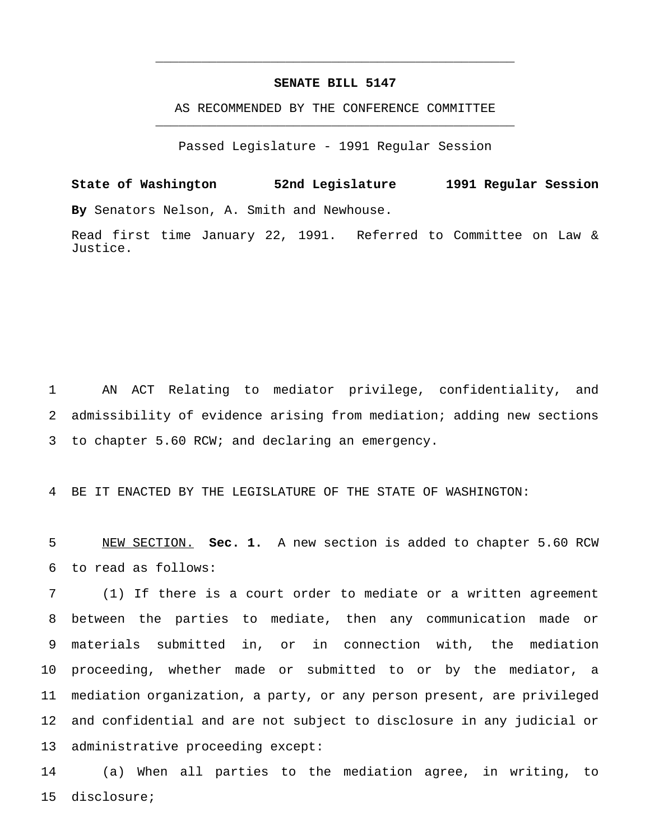## **SENATE BILL 5147**

\_\_\_\_\_\_\_\_\_\_\_\_\_\_\_\_\_\_\_\_\_\_\_\_\_\_\_\_\_\_\_\_\_\_\_\_\_\_\_\_\_\_\_\_\_\_\_

AS RECOMMENDED BY THE CONFERENCE COMMITTEE \_\_\_\_\_\_\_\_\_\_\_\_\_\_\_\_\_\_\_\_\_\_\_\_\_\_\_\_\_\_\_\_\_\_\_\_\_\_\_\_\_\_\_\_\_\_\_

Passed Legislature - 1991 Regular Session

**State of Washington 52nd Legislature 1991 Regular Session By** Senators Nelson, A. Smith and Newhouse.

Read first time January 22, 1991. Referred to Committee on Law & Justice.

 AN ACT Relating to mediator privilege, confidentiality, and admissibility of evidence arising from mediation; adding new sections to chapter 5.60 RCW; and declaring an emergency.

BE IT ENACTED BY THE LEGISLATURE OF THE STATE OF WASHINGTON:

 NEW SECTION. **Sec. 1.** A new section is added to chapter 5.60 RCW to read as follows:

 (1) If there is a court order to mediate or a written agreement between the parties to mediate, then any communication made or materials submitted in, or in connection with, the mediation proceeding, whether made or submitted to or by the mediator, a mediation organization, a party, or any person present, are privileged and confidential and are not subject to disclosure in any judicial or administrative proceeding except:

 (a) When all parties to the mediation agree, in writing, to disclosure;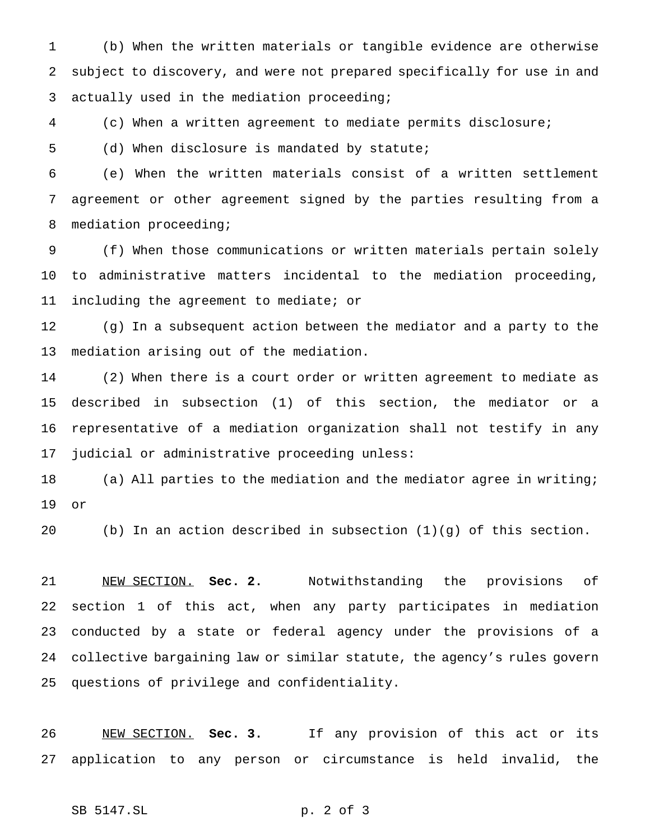(b) When the written materials or tangible evidence are otherwise subject to discovery, and were not prepared specifically for use in and actually used in the mediation proceeding;

(c) When a written agreement to mediate permits disclosure;

(d) When disclosure is mandated by statute;

 (e) When the written materials consist of a written settlement agreement or other agreement signed by the parties resulting from a mediation proceeding;

 (f) When those communications or written materials pertain solely to administrative matters incidental to the mediation proceeding, including the agreement to mediate; or

 (g) In a subsequent action between the mediator and a party to the mediation arising out of the mediation.

 (2) When there is a court order or written agreement to mediate as described in subsection (1) of this section, the mediator or a representative of a mediation organization shall not testify in any judicial or administrative proceeding unless:

 (a) All parties to the mediation and the mediator agree in writing; or

(b) In an action described in subsection (1)(g) of this section.

 NEW SECTION. **Sec. 2.** Notwithstanding the provisions of section 1 of this act, when any party participates in mediation conducted by a state or federal agency under the provisions of a collective bargaining law or similar statute, the agency's rules govern questions of privilege and confidentiality.

 NEW SECTION. **Sec. 3.** If any provision of this act or its application to any person or circumstance is held invalid, the

# SB 5147.SL p. 2 of 3